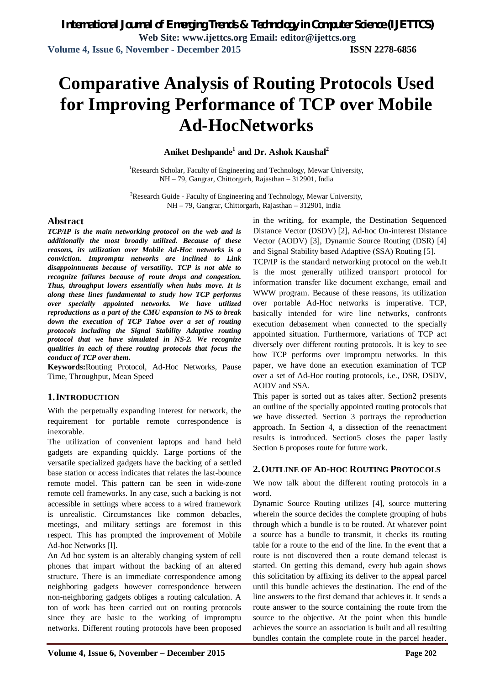**Volume 4, Issue 6, November - December 2015 ISSN 2278-6856**

# **Comparative Analysis of Routing Protocols Used for Improving Performance of TCP over Mobile Ad-HocNetworks**

*International Journal of Emerging Trends & Technology in Computer Science (IJETTCS)* **Web Site: www.ijettcs.org Email: editor@ijettcs.org** 

### **Aniket Deshpande<sup>1</sup> and Dr. Ashok Kaushal<sup>2</sup>**

<sup>1</sup>Research Scholar, Faculty of Engineering and Technology, Mewar University, NH – 79, Gangrar, Chittorgarh, Rajasthan – 312901, India

<sup>2</sup>Research Guide - Faculty of Engineering and Technology, Mewar University, NH – 79, Gangrar, Chittorgarh, Rajasthan – 312901, India

#### **Abstract**

*TCP/IP is the main networking protocol on the web and is additionally the most broadly utilized. Because of these reasons, its utilization over Mobile Ad-Hoc networks is a conviction. Impromptu networks are inclined to Link disappointments because of versatility. TCP is not able to recognize failures because of route drops and congestion. Thus, throughput lowers essentially when hubs move. It is along these lines fundamental to study how TCP performs over specially appointed networks. We have utilized reproductions as a part of the CMU expansion to NS to break down the execution of TCP Tahoe over a set of routing protocols including the Signal Stability Adaptive routing protocol that we have simulated in NS-2. We recognize qualities in each of these routing protocols that focus the conduct of TCP over them.*

**Keywords:**Routing Protocol, Ad-Hoc Networks, Pause Time, Throughput, Mean Speed

#### **1.INTRODUCTION**

With the perpetually expanding interest for network, the requirement for portable remote correspondence is inexorable.

The utilization of convenient laptops and hand held gadgets are expanding quickly. Large portions of the versatile specialized gadgets have the backing of a settled base station or access indicates that relates the last-bounce remote model. This pattern can be seen in wide-zone remote cell frameworks. In any case, such a backing is not accessible in settings where access to a wired framework is unrealistic. Circumstances like common debacles, meetings, and military settings are foremost in this respect. This has prompted the improvement of Mobile Ad-hoc Networks [l].

An Ad hoc system is an alterably changing system of cell phones that impart without the backing of an altered structure. There is an immediate correspondence among neighboring gadgets however correspondence between non-neighboring gadgets obliges a routing calculation. A ton of work has been carried out on routing protocols since they are basic to the working of impromptu networks. Different routing protocols have been proposed in the writing, for example, the Destination Sequenced Distance Vector (DSDV) [2], Ad-hoc On-interest Distance Vector (AODV) [3], Dynamic Source Routing (DSR) [4] and Signal Stability based Adaptive (SSA) Routing [5].

TCP/IP is the standard networking protocol on the web.It is the most generally utilized transport protocol for information transfer like document exchange, email and WWW program. Because of these reasons, its utilization over portable Ad-Hoc networks is imperative. TCP, basically intended for wire line networks, confronts execution debasement when connected to the specially appointed situation. Furthermore, variations of TCP act diversely over different routing protocols. It is key to see how TCP performs over impromptu networks. In this paper, we have done an execution examination of TCP over a set of Ad-Hoc routing protocols, i.e., DSR, DSDV, AODV and SSA.

This paper is sorted out as takes after. Section2 presents an outline of the specially appointed routing protocols that we have dissected. Section 3 portrays the reproduction approach. In Section 4, a dissection of the reenactment results is introduced. Section5 closes the paper lastly Section 6 proposes route for future work.

#### **2.OUTLINE OF AD-HOC ROUTING PROTOCOLS**

We now talk about the different routing protocols in a word.

Dynamic Source Routing utilizes [4], source muttering wherein the source decides the complete grouping of hubs through which a bundle is to be routed. At whatever point a source has a bundle to transmit, it checks its routing table for a route to the end of the line. In the event that a route is not discovered then a route demand telecast is started. On getting this demand, every hub again shows this solicitation by affixing its deliver to the appeal parcel until this bundle achieves the destination. The end of the line answers to the first demand that achieves it. It sends a route answer to the source containing the route from the source to the objective. At the point when this bundle achieves the source an association is built and all resulting bundles contain the complete route in the parcel header.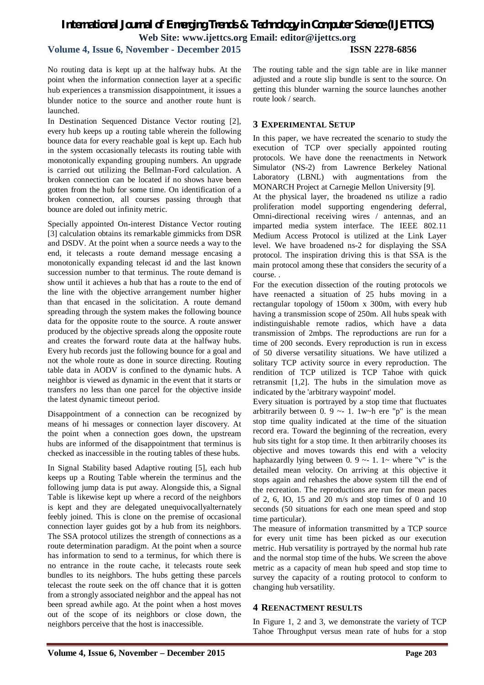# *International Journal of Emerging Trends & Technology in Computer Science (IJETTCS)* **Web Site: www.ijettcs.org Email: editor@ijettcs.org**

## **Volume 4, Issue 6, November - December 2015 ISSN 2278-6856**

No routing data is kept up at the halfway hubs. At the point when the information connection layer at a specific hub experiences a transmission disappointment, it issues a blunder notice to the source and another route hunt is launched.

In Destination Sequenced Distance Vector routing [2], every hub keeps up a routing table wherein the following bounce data for every reachable goal is kept up. Each hub in the system occasionally telecasts its routing table with monotonically expanding grouping numbers. An upgrade is carried out utilizing the Bellman-Ford calculation. A broken connection can be located if no shows have been gotten from the hub for some time. On identification of a broken connection, all courses passing through that bounce are doled out infinity metric.

Specially appointed On-interest Distance Vector routing [3] calculation obtains its remarkable gimmicks from DSR and DSDV. At the point when a source needs a way to the end, it telecasts a route demand message encasing a monotonically expanding telecast id and the last known succession number to that terminus. The route demand is show until it achieves a hub that has a route to the end of the line with the objective arrangement number higher than that encased in the solicitation. A route demand spreading through the system makes the following bounce data for the opposite route to the source. A route answer produced by the objective spreads along the opposite route and creates the forward route data at the halfway hubs. Every hub records just the following bounce for a goal and not the whole route as done in source directing. Routing table data in AODV is confined to the dynamic hubs. A neighbor is viewed as dynamic in the event that it starts or transfers no less than one parcel for the objective inside the latest dynamic timeout period.

Disappointment of a connection can be recognized by means of hi messages or connection layer discovery. At the point when a connection goes down, the upstream hubs are informed of the disappointment that terminus is checked as inaccessible in the routing tables of these hubs.

In Signal Stability based Adaptive routing [5], each hub keeps up a Routing Table wherein the terminus and the following jump data is put away. Alongside this, a Signal Table is likewise kept up where a record of the neighbors is kept and they are delegated unequivocallyalternately feebly joined. This is clone on the premise of occasional connection layer guides got by a hub from its neighbors. The SSA protocol utilizes the strength of connections as a route determination paradigm. At the point when a source has information to send to a terminus, for which there is no entrance in the route cache, it telecasts route seek bundles to its neighbors. The hubs getting these parcels telecast the route seek on the off chance that it is gotten from a strongly associated neighbor and the appeal has not been spread awhile ago. At the point when a host moves out of the scope of its neighbors or close down, the neighbors perceive that the host is inaccessible.

The routing table and the sign table are in like manner adjusted and a route slip bundle is sent to the source. On getting this blunder warning the source launches another route look / search.

## **3 EXPERIMENTAL SETUP**

In this paper, we have recreated the scenario to study the execution of TCP over specially appointed routing protocols. We have done the reenactments in Network Simulator (NS-2) from Lawrence Berkeley National Laboratory (LBNL) with augmentations from the MONARCH Project at Carnegie Mellon University [9].

At the physical layer, the broadened ns utilize a radio proliferation model supporting engendering deferral, Omni-directional receiving wires / antennas, and an imparted media system interface. The IEEE 802.11 Medium Access Protocol is utilized at the Link Layer level. We have broadened ns-2 for displaying the SSA protocol. The inspiration driving this is that SSA is the main protocol among these that considers the security of a course. .

For the execution dissection of the routing protocols we have reenacted a situation of 25 hubs moving in a rectangular topology of 150om x 300m, with every hub having a transmission scope of 250m. All hubs speak with indistinguishable remote radios, which have a data transmission of 2mbps. The reproductions are run for a time of 200 seconds. Every reproduction is run in excess of 50 diverse versatility situations. We have utilized a solitary TCP activity source in every reproduction. The rendition of TCP utilized is TCP Tahoe with quick retransmit [1,2]. The hubs in the simulation move as indicated by the 'arbitrary waypoint' model.

Every situation is portrayed by a stop time that fluctuates arbitrarily between  $0.9 \sim 1.1$  w $\neg$ h ere "p" is the mean stop time quality indicated at the time of the situation record era. Toward the beginning of the recreation, every hub sits tight for a stop time. It then arbitrarily chooses its objective and moves towards this end with a velocity haphazardly lying between 0. 9  $\sim$  1. 1 $\sim$  where "v" is the detailed mean velocity. On arriving at this objective it stops again and rehashes the above system till the end of the recreation. The reproductions are run for mean paces of 2, 6, IO, 15 and 20 m/s and stop times of 0 and 10 seconds (50 situations for each one mean speed and stop time particular).

The measure of information transmitted by a TCP source for every unit time has been picked as our execution metric. Hub versatility is portrayed by the normal hub rate and the normal stop time of the hubs. We screen the above metric as a capacity of mean hub speed and stop time to survey the capacity of a routing protocol to conform to changing hub versatility.

#### **4 REENACTMENT RESULTS**

In Figure 1, 2 and 3, we demonstrate the variety of TCP Tahoe Throughput versus mean rate of hubs for a stop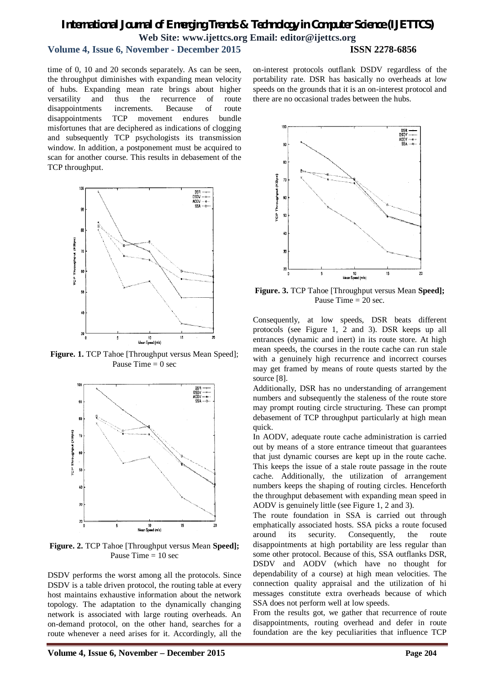## *International Journal of Emerging Trends & Technology in Computer Science (IJETTCS)* **Web Site: www.ijettcs.org Email: editor@ijettcs.org Volume 4, Issue 6, November - December 2015 ISSN 2278-6856**

time of 0, 10 and 20 seconds separately. As can be seen, the throughput diminishes with expanding mean velocity of hubs. Expanding mean rate brings about higher versatility and thus the recurrence of route disappointments increments. Because of route disappointments TCP movement endures bundle misfortunes that are deciphered as indications of clogging and subsequently TCP psychologists its transmission window. In addition, a postponement must be acquired to scan for another course. This results in debasement of the TCP throughput.



**Figure. 1.** TCP Tahoe [Throughput versus Mean Speed]; Pause Time  $= 0$  sec



**Figure. 2.** TCP Tahoe [Throughput versus Mean **Speed];**  Pause Time  $= 10$  sec

DSDV performs the worst among all the protocols. Since DSDV is a table driven protocol, the routing table at every host maintains exhaustive information about the network topology. The adaptation to the dynamically changing network is associated with large routing overheads. An on-demand protocol, on the other hand, searches for a route whenever a need arises for it. Accordingly, all the

on-interest protocols outflank DSDV regardless of the portability rate. DSR has basically no overheads at low speeds on the grounds that it is an on-interest protocol and there are no occasional trades between the hubs.



**Figure. 3.** TCP Tahoe [Throughput versus Mean **Speed];**  Pause Time = 20 sec.

Consequently, at low speeds, DSR beats different protocols (see Figure 1, 2 and 3). DSR keeps up all entrances (dynamic and inert) in its route store. At high mean speeds, the courses in the route cache can run stale with a genuinely high recurrence and incorrect courses may get framed by means of route quests started by the source [8].

Additionally, DSR has no understanding of arrangement numbers and subsequently the staleness of the route store may prompt routing circle structuring. These can prompt debasement of TCP throughput particularly at high mean quick.

In AODV, adequate route cache administration is carried out by means of a store entrance timeout that guarantees that just dynamic courses are kept up in the route cache. This keeps the issue of a stale route passage in the route cache. Additionally, the utilization of arrangement numbers keeps the shaping of routing circles. Henceforth the throughput debasement with expanding mean speed in AODV is genuinely little (see Figure 1, 2 and 3).

The route foundation in SSA is carried out through emphatically associated hosts. SSA picks a route focused around its security. Consequently, the route disappointments at high portability are less regular than some other protocol. Because of this, SSA outflanks DSR, DSDV and AODV (which have no thought for dependability of a course) at high mean velocities. The connection quality appraisal and the utilization of hi messages constitute extra overheads because of which SSA does not perform well at low speeds.

From the results got, we gather that recurrence of route disappointments, routing overhead and defer in route foundation are the key peculiarities that influence TCP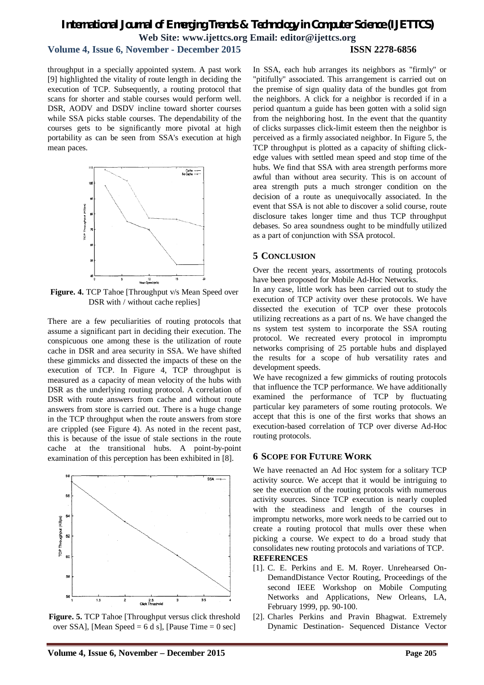## *International Journal of Emerging Trends & Technology in Computer Science (IJETTCS)* **Web Site: www.ijettcs.org Email: editor@ijettcs.org Volume 4, Issue 6, November - December 2015 ISSN 2278-6856**

throughput in a specially appointed system. A past work [9] highlighted the vitality of route length in deciding the execution of TCP. Subsequently, a routing protocol that scans for shorter and stable courses would perform well. DSR, AODV and DSDV incline toward shorter courses while SSA picks stable courses. The dependability of the courses gets to be significantly more pivotal at high portability as can be seen from SSA's execution at high mean paces.



**Figure. 4.** TCP Tahoe [Throughput v/s Mean Speed over DSR with / without cache replies]

There are a few peculiarities of routing protocols that assume a significant part in deciding their execution. The conspicuous one among these is the utilization of route cache in DSR and area security in SSA. We have shifted these gimmicks and dissected the impacts of these on the execution of TCP. In Figure 4, TCP throughput is measured as a capacity of mean velocity of the hubs with DSR as the underlying routing protocol. A correlation of DSR with route answers from cache and without route answers from store is carried out. There is a huge change in the TCP throughput when the route answers from store are crippled (see Figure 4). As noted in the recent past, this is because of the issue of stale sections in the route cache at the transitional hubs. A point-by-point examination of this perception has been exhibited in [8].



**Figure. 5.** TCP Tahoe [Throughput versus click threshold over SSA], [Mean Speed = 6 d s], [Pause Time = 0 sec]

In SSA, each hub arranges its neighbors as "firmly" or "pitifully" associated. This arrangement is carried out on the premise of sign quality data of the bundles got from the neighbors. A click for a neighbor is recorded if in a period quantum a guide has been gotten with a solid sign from the neighboring host. In the event that the quantity of clicks surpasses click-limit esteem then the neighbor is perceived as a firmly associated neighbor. In Figure 5, the TCP throughput is plotted as a capacity of shifting clickedge values with settled mean speed and stop time of the hubs. We find that SSA with area strength performs more awful than without area security. This is on account of area strength puts a much stronger condition on the decision of a route as unequivocally associated. In the event that SSA is not able to discover a solid course, route disclosure takes longer time and thus TCP throughput debases. So area soundness ought to be mindfully utilized as a part of conjunction with SSA protocol.

#### **5 CONCLUSION**

Over the recent years, assortments of routing protocols have been proposed for Mobile Ad-Hoc Networks.

In any case, little work has been carried out to study the execution of TCP activity over these protocols. We have dissected the execution of TCP over these protocols utilizing recreations as a part of ns. We have changed the ns system test system to incorporate the SSA routing protocol. We recreated every protocol in impromptu networks comprising of 25 portable hubs and displayed the results for a scope of hub versatility rates and development speeds.

We have recognized a few gimmicks of routing protocols that influence the TCP performance. We have additionally examined the performance of TCP by fluctuating particular key parameters of some routing protocols. We accept that this is one of the first works that shows an execution-based correlation of TCP over diverse Ad-Hoc routing protocols.

#### **6 SCOPE FOR FUTURE WORK**

We have reenacted an Ad Hoc system for a solitary TCP activity source. We accept that it would be intriguing to see the execution of the routing protocols with numerous activity sources. Since TCP execution is nearly coupled with the steadiness and length of the courses in impromptu networks, more work needs to be carried out to create a routing protocol that mulls over these when picking a course. We expect to do a broad study that consolidates new routing protocols and variations of TCP. **REFERENCES**

- [1]. C. E. Perkins and E. M. Royer. Unrehearsed On-DemandDistance Vector Routing, Proceedings of the second IEEE Workshop on Mobile Computing Networks and Applications, New Orleans, LA, February 1999, pp. 90-100.
- [2]. Charles Perkins and Pravin Bhagwat. Extremely Dynamic Destination- Sequenced Distance Vector